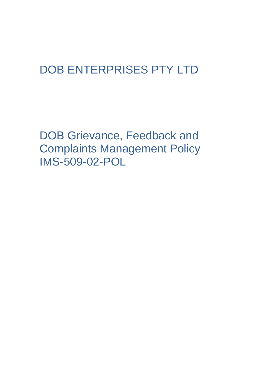# DOB ENTERPRISES PTY LTD

DOB Grievance, Feedback and Complaints Management Policy IMS-509-02-POL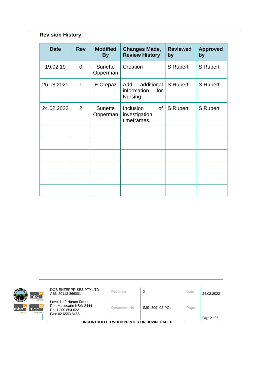# **Revision History**

| <b>Date</b> | <b>Rev</b>     | <b>Modified</b><br><b>By</b> | <b>Changes Made,</b><br><b>Review History</b>             | <b>Reviewed</b><br>by | <b>Approved</b><br>by |
|-------------|----------------|------------------------------|-----------------------------------------------------------|-----------------------|-----------------------|
| 19.02.19    | $\overline{0}$ | <b>Sunette</b><br>Opperman   | Creation                                                  | <b>S</b> Rupert       | <b>S</b> Rupert       |
| 26.08.2021  | 1              | E Crepaz                     | Add<br>additional<br>information<br>for<br><b>Nursing</b> | S Rupert              | <b>S</b> Rupert       |
| 24.02.2022  | $\overline{2}$ | <b>Sunette</b><br>Opperman   | Inclusion<br>of<br>investigation<br>timeframes            | <b>S</b> Rupert       | <b>S</b> Rupert       |
|             |                |                              |                                                           |                       |                       |
|             |                |                              |                                                           |                       |                       |
|             |                |                              |                                                           |                       |                       |
|             |                |                              |                                                           |                       |                       |
|             |                |                              |                                                           |                       |                       |
|             |                |                              |                                                           |                       |                       |



**DOB ENTERPRISES PTY LTD**<br>**ABN 20112 866001 Revision** 2 **Date** 24.02.2022

Level 1 49 Horton Street Port Macquarie NSW 2444 Ph: 1 300 854 622 Fax: 02 6583 8468

**Document No** IMS -509- 02-POL **Page**

**UNCONTROLLED WHEN PRINTED OR DOWNLOADED**

Page 2 of 6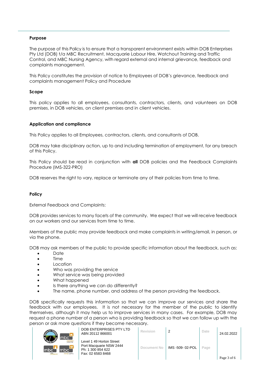# **Purpose**

The purpose of this Policy is to ensure that a transparent environment exists within DOB Enterprises Pty Ltd (DOB) t/a MBC Recruitment, Macquarie Labour Hire, Watchout Training and Traffic Control, and MBC Nursing Agency, with regard external and internal grievance, feedback and complaints management.

This Policy constitutes the provision of notice to Employees of DOB's grievance, feedback and complaints management Policy and Procedure

# **Scope**

This policy applies to all employees, consultants, contractors, clients, and volunteers on DOB premises, in DOB vehicles, on client premises and in client vehicles.

# **Application and compliance**

This Policy applies to all Employees, contractors, clients, and consultants of DOB.

DOB may take disciplinary action, up to and including termination of employment, for any breach of this Policy.

This Policy should be read in conjunction with **all** DOB policies and the Feedback Complaints Procedure (IMS-322-PRO)

DOB reserves the right to vary, replace or terminate any of their policies from time to time.

# **Policy**

External Feedback and Complaints:

DOB provides services to many facets of the community. We expect that we will receive feedback on our workers and our services from time to time.

Members of the public may provide feedback and make complaints in writing/email, in person, or via the phone.

DOB may ask members of the public to provide specific information about the feedback, such as:

- Date
- **Time**
- Location
- Who was providing the service
- What service was being provided
- What happened
- Is there anything we can do differently?
- The name, phone number, and address of the person providing the feedback.

DOB specifically requests this information so that we can improve our services and share the feedback with our employees. It is not necessary for the member of the public to identify themselves, although it may help us to improve services in many cases. For example, DOB may request a phone number of a person who is providing feedback so that we can follow up with the person or ask more questions if they become necessary.

| $\tau_{\rm 2D}$           | m<br>e                    |
|---------------------------|---------------------------|
| <b><i>RAFFIC COLL</i></b> | mo<br><b>Icloour hire</b> |
| mbc<br>mte                | mbc<br>sursing agency     |

|                               | DOB ENTERPRISES PTY LTD<br>ABN 20112 866001                                                   | Revision    |                 | Date | 24.02.2022  |
|-------------------------------|-----------------------------------------------------------------------------------------------|-------------|-----------------|------|-------------|
| ur hire<br>$\bullet$<br>gency | Level 1 49 Horton Street<br>Port Macquarie NSW 2444<br>Ph: 1 300 854 622<br>Fax: 02 6583 8468 | Document No | IMS -509-02-POL | Page | Page 3 of 6 |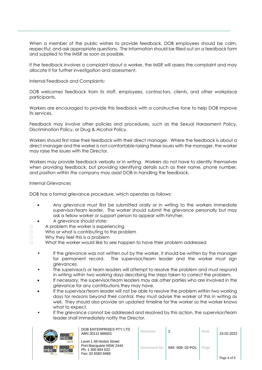When a member of the public wishes to provide feedback, DOB employees should be calm, respectful, and ask appropriate questions. The information should be filled out on a feedback form and supplied to the IMSR as soon as possible.

If the feedback involves a complaint about a worker, the IMSR will assess the complaint and may allocate it for further investigation and assessment.

Internal Feedback and Complaints:

DOB welcomes feedback from its staff, employees, contractors, clients, and other workplace participants.

Workers are encouraged to provide this feedback with a constructive tone to help DOB improve its services.

Feedback may involve other policies and procedures, such as the Sexual Harassment Policy, Discrimination Policy, or Drug & Alcohol Policy.

Workers should first raise their feedback with their direct manager. Where the feedback is about a direct manager and the worker is not comfortable raising these issues with the manager, the worker may raise the issues with the Director.

Workers may provide feedback verbally or in writing. Workers do not have to identify themselves when providing feedback, but providing identifying details such as their name, phone number, and position within the company may assist DOB in handling the feedback.

# Internal Grievances

DOB has a formal grievance procedure, which operates as follows:

- Any grievance must first be submitted orally or in writing to the workers immediate supervisor/team leader. The worker should submit the grievance personally but may ask a fellow worker or support person to appear with him/her.
- A grievance should state:
- $\Box$ A problem the worker is experiencing
- Who or what is contributing to the problem  $\Box$
- $\Box$ Why they feel this is a problem
- $\Box$ What the worker would like to see happen to have their problem addressed
	- If the grievance was not written out by the worker, it should be written by the manager for permanent record. The supervisor/team leader and the worker must sign grievances.
	- The supervisor/s or team leaders will attempt to resolve the problem and must respond in writing within two working days describing the steps taken to correct the problem.
	- If necessary, the supervisor/team leaders may ask other parties who are involved in the grievance for any contributions they may have.
	- If the supervisor/team leader will not be able to resolve the problem within two working days for reasons beyond their control, they must advise the worker of this in writing as well. They should also provide an updated timeline for the worker so the worker knows what to expect.
	- If the grievance cannot be addressed and resolved by this action, the supervisor/team leader shall immediately notify the Director.



DOB ENTERPRISES PTY LTD ABN 20112 866001 **Revision** <sup>2</sup> **Date** 24.02.2022

Level 1 49 Horton Street Port Macquarie NSW 2444 Ph: 1 300 854 622 Fax: 02 6583 8468

| <b>Revision</b> | 2               | Date | 24.02.2022  |
|-----------------|-----------------|------|-------------|
| Document No     | IMS -509-02-POL | Page | Page 4 of 6 |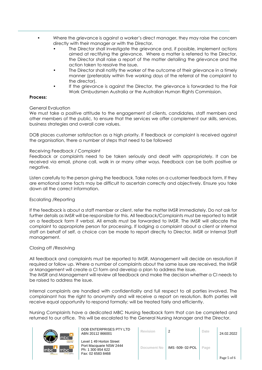• Where the grievance is against a worker's direct manager, they may raise the concern directly with their manager or with the Director.

- The Director shall investigate the grievance and, if possible, implement actions aimed at rectifying the grievance. Where a matter is referred to the Director, the Director shall raise a report of the matter detailing the grievance and the action taken to resolve the issue.
- The Director shall notify the worker of the outcome of their grievance in a timely manner (preferably within five working days of the referral of the complaint to the director).
- If the grievance is against the Director, the grievance is forwarded to the Fair Work Ombudsmen Australia or the Australian Human Rights Commission.

#### **Process:**

#### General Evaluation

We must take a positive attitude to the engagement of clients, candidates, staff members and other members of the public, to ensure that the services we offer complement our skills, services, business strategies and overall core values.

DOB places customer satisfaction as a high priority. If feedback or complaint is received against the organisation, there a number of steps that need to be followed

#### Receiving Feedback / Complaint

Feedback or complaints need to be taken seriously and dealt with appropriately. It can be received via email, phone call, walk in or many other ways. Feedback can be both positive or negative.

Listen carefully to the person giving the feedback. Take notes on a customer feedback form. If they are emotional some facts may be difficult to ascertain correctly and objectively. Ensure you take down all the correct information.

# Escalating /Reporting

If the feedback is about a staff member or client, refer the matter IMSR immediately. Do not ask for further details as IMSR will be responsible for this. All feedback/Complaints must be reported to IMSR on a feedback form if verbal. All emails must be forwarded to IMSR. The IMSR will allocate the complaint to appropriate person for processing. If lodging a complaint about a client or internal staff on behalf of self, a choice can be made to report directly to Director, IMSR or Internal Staff management.

# Closing off /Resolving

All feedback and complaints must be reported to IMSR. Management will decide on resolution if required or follow up. Where a number of complaints about the same issue are received, the IMSR or Management will create a CI form and develop a plan to address the issue.

The IMSR and Management will review all feedback and make the decision whether a CI needs to be raised to address the issue.

Internal complaints are handled with confidentiality and full respect to all parties involved. The complainant has the right to anonymity and will receive a report on resolution. Both parties will receive equal opportunity to respond formally; will be treated fairly and efficiently.

Nursing Complaints have a dedicated MBC Nursing feedback form that can be completed and returned to our office. This will be escalated to the General Nursing Manager and the Director.



DOB ENTERPRISES PTY LTD ABN 20112 866001 **Revision** <sup>2</sup> **Date** 24.02.2022

Level 1 49 Horton Street Port Macquarie NSW 2444 Ph: 1 300 854 622 Fax: 02 6583 8468

| <b>Revision</b>    | 2               | Date | 24.02.2022  |
|--------------------|-----------------|------|-------------|
| <b>Document No</b> | IMS -509-02-POL | Page |             |
|                    |                 |      | Page 5 of 6 |